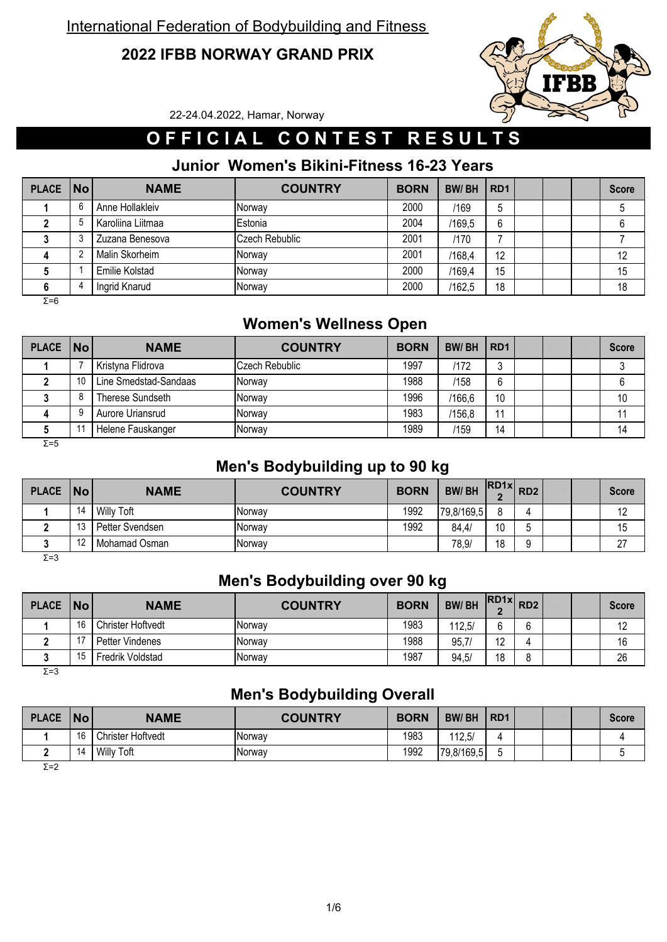#### **2022 IFBB NORWAY GRAND PRIX**



22-24.04.2022, Hamar, Norway

# **O F F I C I A L C O N T E S T R E S U L T S**

#### **Junior Women's Bikini-Fitness 16-23 Years**

| <b>PLACE</b> | $\overline{\mathsf{No}}$ | <b>NAME</b>           | <b>COUNTRY</b> | <b>BORN</b> | <b>BW/BH</b> | RD <sub>1</sub> |  | <b>Score</b> |
|--------------|--------------------------|-----------------------|----------------|-------------|--------------|-----------------|--|--------------|
|              | 6                        | Anne Hollakleiv       | <b>Norway</b>  | 2000        | /169         | ა               |  |              |
|              |                          | Karoliina Liitmaa     | Estonia        | 2004        | /169.5       | 6               |  |              |
|              |                          | Zuzana Benesova       | Czech Rebublic | 2001        | /170         |                 |  |              |
|              |                          | Malin Skorheim        | Norway         | 2001        | /168,4       | 12              |  | 12           |
|              |                          | <b>Emilie Kolstad</b> | Norway         | 2000        | /169,4       | 15              |  | 15           |
|              |                          | Ingrid Knarud         | Norway         | 2000        | /162,5       | 18              |  | 18           |

 $\overline{Σ=6}$ 

## **Women's Wellness Open**

| PLACE   No |    | <b>NAME</b>           | <b>COUNTRY</b> | <b>BORN</b> | <b>BW/BH</b> | RD <sub>1</sub> |  | <b>Score</b> |
|------------|----|-----------------------|----------------|-------------|--------------|-----------------|--|--------------|
|            |    | Kristyna Flidrova     | Czech Rebublic | 1997        | /172         | J               |  |              |
|            | 10 | Line Smedstad-Sandaas | <b>Norwav</b>  | 1988        | /158         | 6               |  |              |
|            |    | Therese Sundseth      | <b>Norwav</b>  | 1996        | /166.6       | 10              |  | 10           |
|            |    | Aurore Uriansrud      | Norwav         | 1983        | /156,8       | 11              |  |              |
|            |    | Helene Fauskanger     | Norwav         | 1989        | /159         | 14              |  | 14           |

Σ=5

#### **Men's Bodybuilding up to 90 kg**

| <b>PLACE</b>  | <b>No</b> | <b>NAME</b>     | <b>COUNTRY</b> | <b>BORN</b> | <b>BW/BH</b> | $RDAx$ $RDA1$<br>$\bullet$ |   |  | <b>Score</b> |
|---------------|-----------|-----------------|----------------|-------------|--------------|----------------------------|---|--|--------------|
|               | 14        | Willy Toft      | Norway         | 1992        | 179,8/169,5  | ۰                          | 4 |  | 1 L          |
|               | $\Delta$  | Petter Svendsen | Norway         | 1992        | 84,4/        | 10                         |   |  | 15           |
|               | $\Lambda$ | Mohamad Osman   | Norway         |             | 78,9/        | 18                         |   |  | ົ<br>ا ہے    |
| $\sim$ $\sim$ |           |                 |                |             |              |                            |   |  |              |

Σ=3

#### **Men's Bodybuilding over 90 kg**

| <b>Score</b> |  |   | $R$ D1x $R$ D2  | <b>BW/BH</b> | <b>BORN</b> | <b>COUNTRY</b> | <b>NAME</b>              | No  | <b>PLACE</b> |
|--------------|--|---|-----------------|--------------|-------------|----------------|--------------------------|-----|--------------|
| 12           |  | ◠ | $\sim$          | 112,5/       | 1983        | <b>Norway</b>  | <b>Christer Hoftvedt</b> | 16  |              |
| 16           |  |   | $\overline{10}$ | 95,7         | 1988        | Norway         | Petter Vindenes          |     |              |
| 26           |  |   | 18              | 94,5/        | 1987        | <b>Norway</b>  | Fredrik Voldstad         | 15. |              |
|              |  |   |                 |              |             |                |                          |     |              |

Σ=3

#### **Men's Bodybuilding Overall**

| <b>PLACE</b> | <b>No</b> | <b>NAME</b>       | <b>COUNTRY</b> | <b>BORN</b> | <b>BW/BH</b> | R <sub>D</sub> 1 |  | <b>Score</b> |
|--------------|-----------|-------------------|----------------|-------------|--------------|------------------|--|--------------|
|              | 16        | Christer Hoftvedt | Norway         | 1983        | 112,5/       |                  |  |              |
|              | 14        | <b>Willy Toft</b> | Norway         | 1992        | 79,8/169,5   | ∽                |  |              |
| $T - 2$      |           |                   |                |             |              |                  |  |              |

Σ=2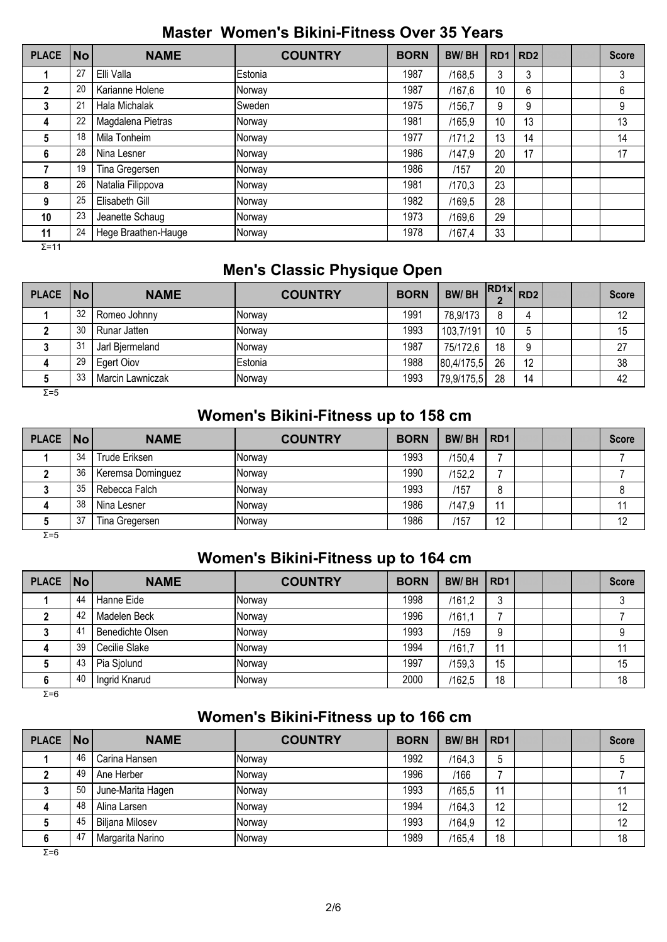#### **Master Women's Bikini-Fitness Over 35 Years**

| <b>PLACE</b>   | <b>No</b> | <b>NAME</b>         | <b>COUNTRY</b> | <b>BORN</b> | <b>BW/BH</b> | RD <sub>1</sub> | RD <sub>2</sub> |  | <b>Score</b> |
|----------------|-----------|---------------------|----------------|-------------|--------------|-----------------|-----------------|--|--------------|
|                | 27        | Elli Valla          | Estonia        | 1987        | /168.5       | 3               | 3               |  | 3            |
| $\overline{2}$ | 20        | Karianne Holene     | Norway         | 1987        | /167.6       | 10              | 6               |  | 6            |
| 3              | 21        | Hala Michalak       | Sweden         | 1975        | /156.7       | 9               | 9               |  | 9            |
| 4              | 22        | Magdalena Pietras   | Norway         | 1981        | /165.9       | 10              | 13              |  | 13           |
| 5              | 18        | Mila Tonheim        | Norway         | 1977        | /171,2       | 13              | 14              |  | 14           |
| 6              | 28        | Nina Lesner         | Norway         | 1986        | /147,9       | 20              | 17              |  | 17           |
|                | 19        | Tina Gregersen      | Norway         | 1986        | /157         | 20              |                 |  |              |
| 8              | 26        | Natalia Filippova   | Norway         | 1981        | /170.3       | 23              |                 |  |              |
| 9              | 25        | Elisabeth Gill      | Norway         | 1982        | /169,5       | 28              |                 |  |              |
| 10             | 23        | Jeanette Schaug     | Norway         | 1973        | /169,6       | 29              |                 |  |              |
| 11             | 24        | Hege Braathen-Hauge | Norway         | 1978        | /167,4       | 33              |                 |  |              |

Σ=11

## **Men's Classic Physique Open**

| PLACE No     |    | <b>NAME</b>      | <b>COUNTRY</b> | <b>BORN</b> | <b>BW/BH</b> |    | $RDAx$ $RD2$ |  | <b>Score</b> |
|--------------|----|------------------|----------------|-------------|--------------|----|--------------|--|--------------|
|              | 32 | Romeo Johnny     | <b>Norwav</b>  | 1991        | 78,9/173     | 8  |              |  | 12           |
|              | 30 | Runar Jatten     | Norway         | 1993        | 103,7/191    | 10 | ა            |  | 15           |
|              | 31 | Jarl Bjermeland  | Norway         | 1987        | 75/172,6     | 18 | 9            |  | 27           |
| 4            | 29 | Egert Oiov       | Estonia        | 1988        | 80,4/175,5   | 26 | 12           |  | 38           |
|              | 33 | Marcin Lawniczak | Norway         | 1993        | 79,9/175,5   | 28 | 14           |  | 42           |
| $\Sigma = 5$ |    |                  |                |             |              |    |              |  |              |

## **Women's Bikini-Fitness up to 158 cm**

|         | PLACE No<br><b>NAME</b> | <b>COUNTRY</b> | <b>BORN</b> | <b>BW/BH</b> | RD <sub>1</sub> |  | <b>Score</b> |
|---------|-------------------------|----------------|-------------|--------------|-----------------|--|--------------|
| 34      | Trude Eriksen           | <b>Norwav</b>  | 1993        | /150.4       |                 |  |              |
| 36      | Keremsa Dominguez       | <b>Norway</b>  | 1990        | /152.2       |                 |  |              |
| 35      | Rebecca Falch           | <b>Norwav</b>  | 1993        | /157         | 8               |  |              |
| 38<br>4 | Nina Lesner             | <b>Norwav</b>  | 1986        | /147,9       | 11              |  |              |
| 37      | Tina Gregersen          | Norway         | 1986        | /157         | 12              |  | 12           |

Σ=5

#### **Women's Bikini-Fitness up to 164 cm**

| PLACE No |    | <b>NAME</b>      | <b>COUNTRY</b> | <b>BORN</b> | <b>BW/BH</b> | RD <sub>1</sub> |  | <b>Score</b> |
|----------|----|------------------|----------------|-------------|--------------|-----------------|--|--------------|
|          | 44 | Hanne Eide       | Norway         | 1998        | /161,2       | ა               |  |              |
|          | 42 | Madelen Beck     | Norway         | 1996        | /161,1       |                 |  |              |
|          | 41 | Benedichte Olsen | Norway         | 1993        | /159         | 9               |  |              |
|          | 39 | Cecilie Slake    | Norway         | 1994        | /161.7       | 11              |  |              |
|          | 43 | Pia Sjolund      | Norway         | 1997        | /159.3       | 15              |  | 15           |
|          | 40 | Ingrid Knarud    | Norway         | 2000        | /162,5       | 18              |  | 18           |

 $\overline{Σ=6}$ 

## **Women's Bikini-Fitness up to 166 cm**

| <b>PLACE</b> | $\overline{\mathsf{No}}$ | <b>NAME</b>            | <b>COUNTRY</b> | <b>BORN</b> | <b>BW/BH</b> | R <sub>D</sub> 1 |  | <b>Score</b> |
|--------------|--------------------------|------------------------|----------------|-------------|--------------|------------------|--|--------------|
|              | 46                       | Carina Hansen          | Norway         | 1992        | /164,3       |                  |  |              |
|              | 49                       | Ane Herber             | Norway         | 1996        | /166         |                  |  |              |
|              | 50                       | June-Marita Hagen      | Norway         | 1993        | /165,5       | 11               |  |              |
|              | 48                       | Alina Larsen           | Norway         | 1994        | /164,3       | 12               |  | 12           |
|              | 45                       | <b>Biljana Milosev</b> | Norway         | 1993        | /164,9       | 12               |  | 12           |
|              | 47                       | Margarita Narino       | Norway         | 1989        | /165,4       | 18               |  | 18           |

 $\overline{Σ=6}$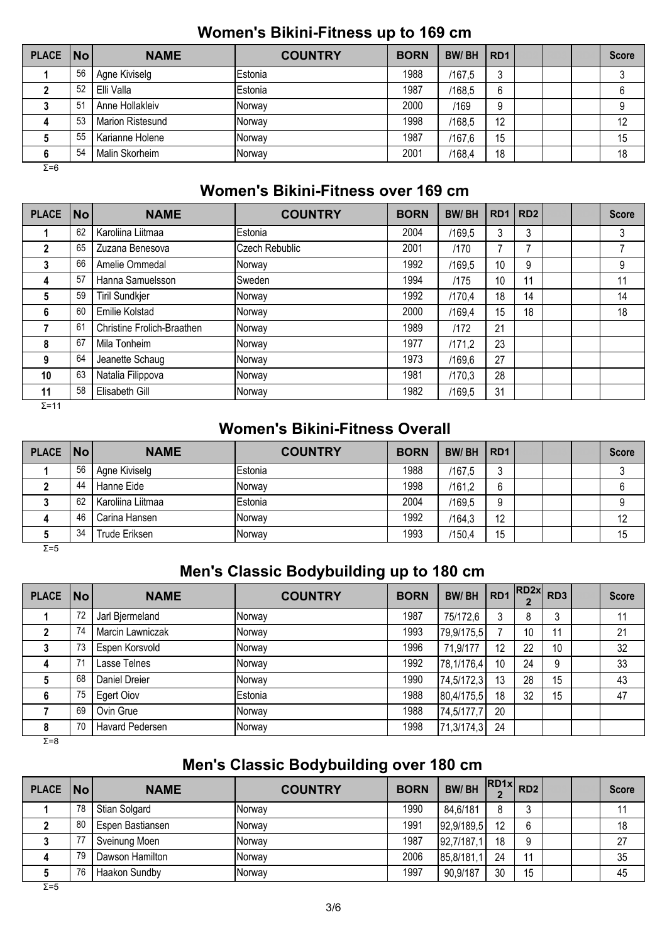#### **Women's Bikini-Fitness up to 169 cm**

| PLACE No     |     | <b>NAME</b>      | <b>COUNTRY</b> | <b>BORN</b> | <b>BW/BH</b> | RD <sub>1</sub> |  | <b>Score</b> |
|--------------|-----|------------------|----------------|-------------|--------------|-----------------|--|--------------|
|              | 56  | Agne Kiviselg    | Estonia        | 1988        | /167.5       | 3               |  |              |
|              | 52  | Elli Valla       | Estonia        | 1987        | /168,5       | 6               |  |              |
|              | -51 | Anne Hollakleiv  | Norway         | 2000        | /169         | 9               |  |              |
| д            | 53  | Marion Ristesund | <b>Norwav</b>  | 1998        | /168,5       | 12              |  | 12           |
|              | 55  | Karianne Holene  | Norway         | 1987        | /167.6       | 15              |  | 15           |
|              | 54  | Malin Skorheim   | Norway         | 2001        | /168,4       | 18              |  | 18           |
| $\Sigma = 6$ |     |                  |                |             |              |                 |  |              |

 **Women's Bikini-Fitness over 169 cm**

| <b>PLACE</b> | <b>No</b> | <b>NAME</b>                | <b>COUNTRY</b> | <b>BORN</b> | <b>BW/BH</b> | RD <sub>1</sub> | RD <sub>2</sub> |  | <b>Score</b> |
|--------------|-----------|----------------------------|----------------|-------------|--------------|-----------------|-----------------|--|--------------|
|              | 62        | Karoliina Liitmaa          | Estonia        | 2004        | /169,5       | 3               | 3               |  | 3            |
| $\mathbf{2}$ | 65        | Zuzana Benesova            | Czech Rebublic | 2001        | /170         | 7               |                 |  | 7            |
| 3            | 66        | Amelie Ommedal             | Norway         | 1992        | /169.5       | 10              | 9               |  | 9            |
| 4            | 57        | Hanna Samuelsson           | Sweden         | 1994        | /175         | 10              | 11              |  | 11           |
| 5            | 59        | <b>Tiril Sundkjer</b>      | Norway         | 1992        | /170.4       | 18              | 14              |  | 14           |
| 6            | 60        | Emilie Kolstad             | Norway         | 2000        | /169.4       | 15              | 18              |  | 18           |
|              | 61        | Christine Frolich-Braathen | Norway         | 1989        | /172         | 21              |                 |  |              |
| 8            | 67        | Mila Tonheim               | Norway         | 1977        | /171,2       | 23              |                 |  |              |
| 9            | 64        | Jeanette Schaug            | Norway         | 1973        | /169.6       | 27              |                 |  |              |
| 10           | 63        | Natalia Filippova          | Norway         | 1981        | /170,3       | 28              |                 |  |              |
| 11           | 58        | Elisabeth Gill             | Norway         | 1982        | /169,5       | 31              |                 |  |              |

 $Σ=11$ 

#### **Women's Bikini-Fitness Overall**

| PLACE No     |    | <b>NAME</b>       | <b>COUNTRY</b> | <b>BORN</b> | <b>BW/BH</b> | RD <sub>1</sub> |  | <b>Score</b> |
|--------------|----|-------------------|----------------|-------------|--------------|-----------------|--|--------------|
|              | 56 | Agne Kiviselg     | Estonia        | 1988        | /167,5       | റ<br>J          |  |              |
|              | 44 | Hanne Eide        | <b>Norwav</b>  | 1998        | /161,2       | 6               |  |              |
|              | 62 | Karoliina Liitmaa | Estonia        | 2004        | /169.5       | 9               |  |              |
| 4            | 46 | Carina Hansen     | Norwav         | 1992        | /164.3       | 12              |  | 12           |
|              | 34 | Trude Eriksen     | Norway         | 1993        | /150.4       | 15              |  | 15           |
| $\Sigma = 5$ |    |                   |                |             |              |                 |  |              |

## **Men's Classic Bodybuilding up to 180 cm**

| <b>PLACE</b> | $\overline{\mathsf{No}}$ | <b>NAME</b>      | <b>COUNTRY</b> | <b>BORN</b> | <b>BW/BH</b> | RD1 | $\left $ RD2x RD3 |    | <b>Score</b> |
|--------------|--------------------------|------------------|----------------|-------------|--------------|-----|-------------------|----|--------------|
|              | 72                       | Jarl Bjermeland  | Norway         | 1987        | 75/172,6     |     | 8                 | 3  | 11           |
|              | 74                       | Marcin Lawniczak | Norway         | 1993        | 79,9/175,5   |     | 10                | 11 | 21           |
|              | 73                       | Espen Korsvold   | Norway         | 1996        | 71.9/177     | 12  | 22                | 10 | 32           |
| 4            | 71                       | Lasse Telnes     | Norway         | 1992        | 78,1/176,4   | 10  | 24                | 9  | 33           |
|              | 68                       | Daniel Dreier    | Norway         | 1990        | 74,5/172,3   | 13  | 28                | 15 | 43           |
| 6            | 75                       | Egert Oiov       | Estonia        | 1988        | 80,4/175,5   | 18  | 32                | 15 | 47           |
|              | 69                       | Ovin Grue        | Norway         | 1988        | 74,5/177,7   | 20  |                   |    |              |
| 8            | 70                       | Havard Pedersen  | Norway         | 1998        | 71,3/174,3   | 24  |                   |    |              |

Σ=8

## **Men's Classic Bodybuilding over 180 cm**

| PLACE No |    | <b>NAME</b>      | <b>COUNTRY</b> | <b>BORN</b> | <b>BW/BH</b> |    | $\left  \text{R}D1x \right $ RD2 |  | <b>Score</b> |
|----------|----|------------------|----------------|-------------|--------------|----|----------------------------------|--|--------------|
|          | 78 | Stian Solgard    | <b>Norway</b>  | 1990        | 84,6/181     | 8  |                                  |  |              |
|          | 80 | Espen Bastiansen | Norway         | 1991        | 92,9/189,5   | 12 | 6                                |  | 18           |
|          | 77 | Sveinung Moen    | <b>Norway</b>  | 1987        | 92,7/187,1   | 18 |                                  |  | 27           |
| 4        | 79 | Dawson Hamilton  | <b>Norway</b>  | 2006        | 85,8/181,1   | 24 | 11                               |  | 35           |
|          | 76 | Haakon Sundby    | Norway         | 1997        | 90,9/187     | 30 | 15                               |  | 45           |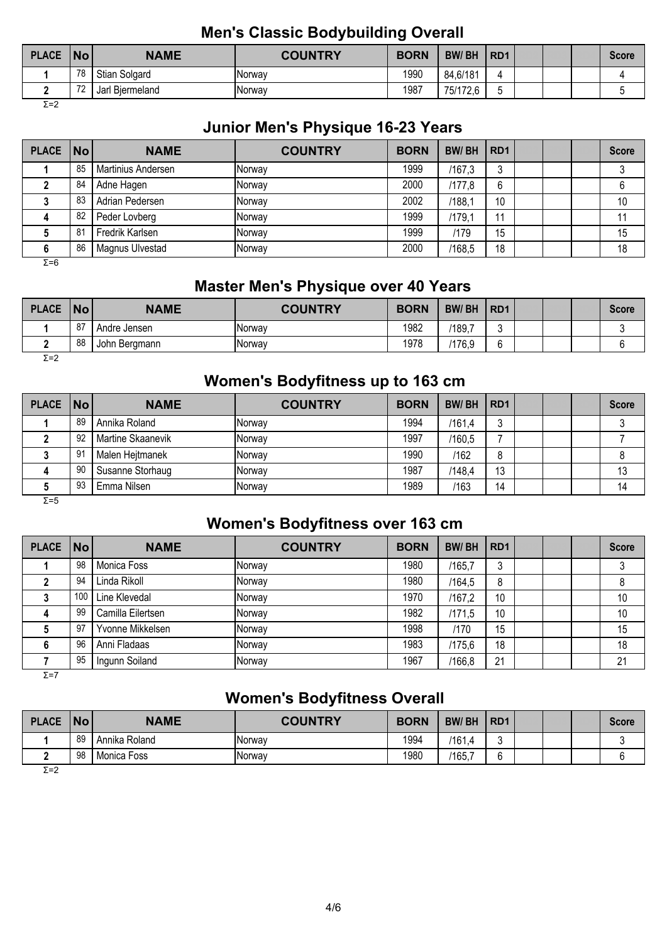#### **Men's Classic Bodybuilding Overall**

| <b>PLACE</b> | <b>No</b> | <b>NAME</b>          | <b>COUNTRY</b> | <b>BORN</b> | <b>BW/BH</b> | R <sub>D</sub> 1 |  | <b>Score</b> |
|--------------|-----------|----------------------|----------------|-------------|--------------|------------------|--|--------------|
|              | 78        | Stian Solgard        | <b>Norway</b>  | 1990        | 84,6/181     |                  |  |              |
|              | 70        | i Biermeland<br>Jarl | <b>Norway</b>  | 1987        | 75/172.6     |                  |  |              |
| Σ=2          |           |                      |                |             |              |                  |  |              |

#### **Junior Men's Physique 16-23 Years**

| PLACE   No |    | <b>NAME</b>        | <b>COUNTRY</b> | <b>BORN</b> | <b>BW/BH</b> | RD <sub>1</sub> |  | <b>Score</b> |
|------------|----|--------------------|----------------|-------------|--------------|-----------------|--|--------------|
|            | 85 | Martinius Andersen | <b>INorway</b> | 1999        | /167.3       | ົ               |  |              |
|            | 84 | Adne Hagen         | <b>Norway</b>  | 2000        | /177.8       | 6               |  |              |
|            | 83 | Adrian Pedersen    | <b>INorway</b> | 2002        | /188,1       | 10              |  | 10           |
|            | 82 | Peder Lovberg      | Norway         | 1999        | /179.1       | 11              |  |              |
|            | 81 | Fredrik Karlsen    | <b>INorway</b> | 1999        | /179         | 15              |  | 15           |
| o          | 86 | Magnus Ulvestad    | <b>INorway</b> | 2000        | /168,5       | 18              |  | 18           |

Σ=6

## **Master Men's Physique over 40 Years**

| <b>PLACE</b> | No | <b>NAME</b>   | <b>COUNTRY</b> | <b>BORN</b> | <b>BW/BH</b> | R <sub>D</sub> 1 |  | Score |
|--------------|----|---------------|----------------|-------------|--------------|------------------|--|-------|
|              | 87 | Andre Jensen  | Norway         | 1982        | /189,7       |                  |  |       |
|              | 88 | John Bergmann | Norway         | 1978        | /176,9       |                  |  |       |
| $\Sigma = 2$ |    |               |                |             |              |                  |  |       |

#### **Women's Bodyfitness up to 163 cm**

| PLACE   No |    | <b>NAME</b>       | <b>COUNTRY</b> | <b>BORN</b> | <b>BW/BH</b> | RD <sub>1</sub> |  | <b>Score</b> |
|------------|----|-------------------|----------------|-------------|--------------|-----------------|--|--------------|
|            | 89 | Annika Roland     | <b>Norway</b>  | 1994        | /161.4       | ັບ              |  |              |
|            | 92 | Martine Skaanevik | <b>Norway</b>  | 1997        | /160.5       |                 |  |              |
|            | 91 | Malen Hejtmanek   | Norway         | 1990        | /162         | 8               |  |              |
|            | 90 | Susanne Storhaug  | <b>Norway</b>  | 1987        | /148,4       | 13              |  | 13           |
|            | 93 | Emma Nilsen       | <b>Norway</b>  | 1989        | /163         | 14              |  | 14           |

Σ=5

## **Women's Bodyfitness over 163 cm**

| <b>PLACE</b> | $\overline{\mathsf{No}}$ | <b>NAME</b>       | <b>COUNTRY</b> | <b>BORN</b> | <b>BW/BH</b> | RD <sub>1</sub> |  | <b>Score</b> |
|--------------|--------------------------|-------------------|----------------|-------------|--------------|-----------------|--|--------------|
|              | 98                       | Monica Foss       | Norway         | 1980        | /165,7       | ر.              |  |              |
|              | 94                       | Linda Rikoll      | Norway         | 1980        | /164,5       | 8               |  | 8            |
|              | 100                      | Line Klevedal     | Norway         | 1970        | /167.2       | 10              |  | 10           |
| 4            | 99                       | Camilla Eilertsen | Norway         | 1982        | /171,5       | 10              |  | 10           |
|              | 97                       | Yvonne Mikkelsen  | Norway         | 1998        | /170         | 15              |  | 15           |
|              | 96                       | Anni Fladaas      | Norway         | 1983        | /175.6       | 18              |  | 18           |
|              | 95                       | Ingunn Soiland    | Norway         | 1967        | /166,8       | 21              |  | 21           |

 $\overline{Σ}$ =7

## **Women's Bodyfitness Overall**

| <b>PLACE</b> | <b>No</b> | <b>NAME</b>   | <b>COUNTRY</b> | <b>BORN</b> | <b>BW/BH</b> | R <sub>D</sub> 1 |  | <b>Score</b> |
|--------------|-----------|---------------|----------------|-------------|--------------|------------------|--|--------------|
|              | 89        | Annika Roland | Norway         | 1994        | 161.4        |                  |  |              |
|              | 98        | Monica Foss   | Norway         | 1980        | '165,        |                  |  |              |
| <b>マーつ</b>   |           |               |                |             |              |                  |  |              |

Σ=2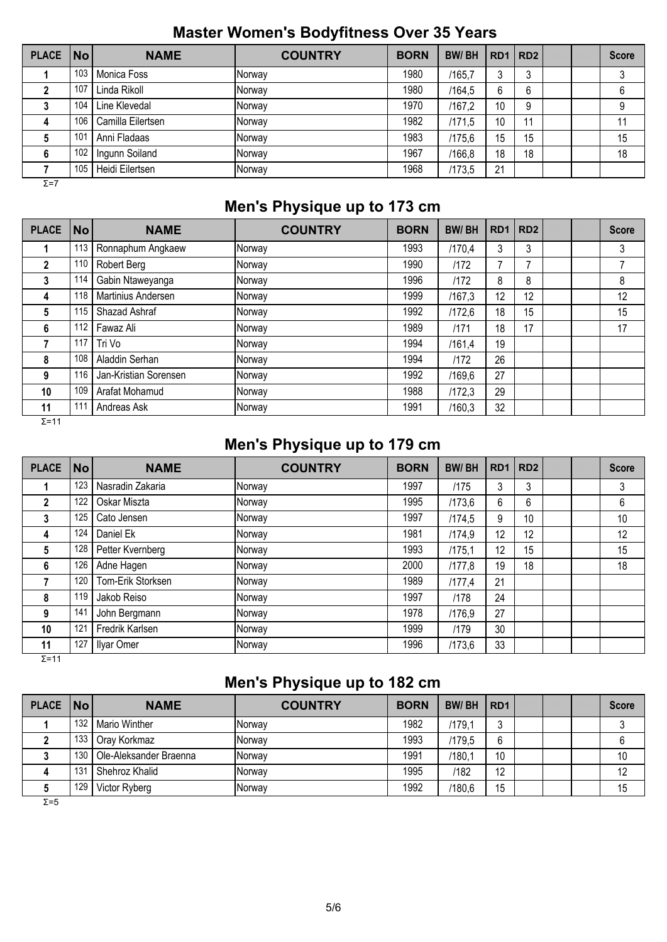## **Master Women's Bodyfitness Over 35 Years**

| <b>PLACE</b> | <b>No</b> | <b>NAME</b>       | <b>COUNTRY</b> | <b>BORN</b> | <b>BW/BH</b> | RD <sub>1</sub> | RD <sub>2</sub> |  | <b>Score</b> |
|--------------|-----------|-------------------|----------------|-------------|--------------|-----------------|-----------------|--|--------------|
|              | 103       | Monica Foss       | Norway         | 1980        | /165,7       |                 | ົ<br>ັ          |  | 3            |
|              | 107       | Linda Rikoll      | Norway         | 1980        | /164.5       | 6               | 6               |  | 6            |
|              | 104       | Line Klevedal     | <b>Norway</b>  | 1970        | /167,2       | 10              | 9               |  | 9            |
| Δ            | 106       | Camilla Eilertsen | Norway         | 1982        | /171.5       | 10              | 11              |  | 11           |
|              | 101       | Anni Fladaas      | Norway         | 1983        | /175,6       | 15              | 15              |  | 15           |
|              | 102       | Ingunn Soiland    | Norway         | 1967        | /166,8       | 18              | 18              |  | 18           |
|              | 105       | Heidi Eilertsen   | Norway         | 1968        | /173,5       | 21              |                 |  |              |
| $\Sigma = 7$ |           |                   |                |             |              |                 |                 |  |              |

## **Men's Physique up to 173 cm**

| <b>PLACE</b> | No  | <b>NAME</b>           | <b>COUNTRY</b> | <b>BORN</b> | <b>BW/BH</b> | RD1 | RD <sub>2</sub> |  | <b>Score</b> |
|--------------|-----|-----------------------|----------------|-------------|--------------|-----|-----------------|--|--------------|
|              | 113 | Ronnaphum Angkaew     | Norway         | 1993        | /170.4       | 3   | 3               |  | 3            |
| $\mathbf{2}$ | 110 | Robert Berg           | Norway         | 1990        | /172         |     |                 |  | 7            |
| 3            | 114 | Gabin Ntaweyanga      | Norway         | 1996        | /172         | 8   | 8               |  | 8            |
| 4            | 118 | Martinius Andersen    | Norway         | 1999        | /167.3       | 12  | 12              |  | 12           |
| 5            | 115 | Shazad Ashraf         | Norway         | 1992        | /172.6       | 18  | 15              |  | 15           |
| 6            | 112 | Fawaz Ali             | Norway         | 1989        | /171         | 18  | 17              |  | 17           |
|              | 117 | Tri Vo                | Norway         | 1994        | /161,4       | 19  |                 |  |              |
| 8            | 108 | Aladdin Serhan        | Norway         | 1994        | /172         | 26  |                 |  |              |
| 9            | 116 | Jan-Kristian Sorensen | Norway         | 1992        | /169.6       | 27  |                 |  |              |
| 10           | 109 | Arafat Mohamud        | Norway         | 1988        | /172.3       | 29  |                 |  |              |
| 11           | 111 | Andreas Ask           | Norway         | 1991        | /160,3       | 32  |                 |  |              |

Σ=11

#### **Men's Physique up to 179 cm**

| <b>PLACE</b> | <b>No</b> | <b>NAME</b>       | <b>COUNTRY</b> | <b>BORN</b> | <b>BW/BH</b> | RD <sub>1</sub> | RD <sub>2</sub> |  | <b>Score</b> |
|--------------|-----------|-------------------|----------------|-------------|--------------|-----------------|-----------------|--|--------------|
|              | 123       | Nasradin Zakaria  | Norway         | 1997        | /175         | 3               | 3               |  | 3            |
| $\mathbf{2}$ | 122       | Oskar Miszta      | Norway         | 1995        | /173,6       | 6               | 6               |  | 6            |
| 3            | 125       | Cato Jensen       | Norway         | 1997        | /174,5       | 9               | 10              |  | 10           |
| 4            | 124       | Daniel Ek         | Norway         | 1981        | /174.9       | 12              | 12              |  | 12           |
| 5            | 128       | Petter Kvernberg  | Norway         | 1993        | /175.1       | 12              | 15              |  | 15           |
| 6            | 126       | Adne Hagen        | Norway         | 2000        | /177,8       | 19              | 18              |  | 18           |
|              | 120       | Tom-Erik Storksen | Norway         | 1989        | /177,4       | 21              |                 |  |              |
| 8            | 119       | Jakob Reiso       | Norway         | 1997        | /178         | 24              |                 |  |              |
| 9            | 141       | John Bergmann     | Norway         | 1978        | /176,9       | 27              |                 |  |              |
| 10           | 121       | Fredrik Karlsen   | Norway         | 1999        | /179         | 30              |                 |  |              |
| 11           | 127       | Ilyar Omer        | Norway         | 1996        | /173,6       | 33              |                 |  |              |

 $Σ=11$ 

## **Men's Physique up to 182 cm**

| PLACE   No |     | <b>NAME</b>            | <b>COUNTRY</b> | <b>BORN</b> | BW/BH  | R <sub>D</sub> 1 |  | <b>Score</b> |
|------------|-----|------------------------|----------------|-------------|--------|------------------|--|--------------|
|            | 132 | <b>Mario Winther</b>   | <b>Norway</b>  | 1982        | /179.1 |                  |  |              |
|            | 133 | Oray Korkmaz           | <b>Norway</b>  | 1993        | /179.5 | 6                |  |              |
|            | 130 | Ole-Aleksander Braenna | <b>Norway</b>  | 1991        | /180.1 | 10               |  | 10           |
| д          | 131 | Shehroz Khalid         | Norway         | 1995        | /182   | 12               |  | 12           |
|            | 129 | Victor Ryberg          | Norway         | 1992        | /180.6 | 15               |  | 15           |

Σ=5